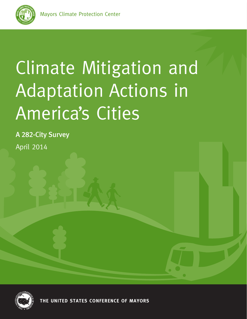

# Climate Mitigation and Adaptation Actions in America's Cities

A 282-City Survey April 2014



**UNITED STATES CONFERENCE OF MAYORS**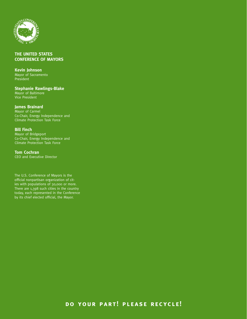

#### **THE UNITED STATES CONFERENCE OF MAYORS**

**Kevin Johnson** Mayor of Sacramento President

**Stephanie Rawlings-Blake** Mayor of Baltimore Vice President

**James Brainard** Mayor of Carmel Co-Chair, Energy Independence and Climate Protection Task Force

#### **Bill Finch** Mayor of Bridgeport Co-Chair, Energy Independence and Climate Protection Task Force

**Tom Cochran** CEO and Executive Director

The U.S. Conference of Mayors is the official nonpartisan organization of cities with populations of 30,000 or more. There are 1,398 such cities in the country today, each represented in the Conference by its chief elected official, the Mayor.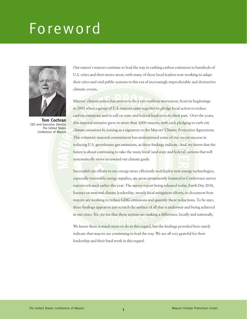### Foreword



**Tom Cochran** CEO and Executive Director The United States Conference of Mayors

Our nation's mayors continue to lead the way in curbing carbon emissions in hundreds of U.S. cities and their metro areas, with many of these local leaders now working to adapt their cities and vital public systems in this era of increasingly unpredictable and destructive climatic events.

Mayors' climate action has proven to be a very resilient movement, from its beginnings in 2005 when a group of U.S. mayors came together to pledge local action to reduce carbon emissions and to call on state and federal leaders to do their part. Over the years, this mayoral initiative grew to more than 1,000 mayors, with each pledging to curb city climate emissions by joining as a signatory to the Mayors' Climate Protection Agreement. This voluntary mayoral commitment has underpinned some of our recent success in reducing U.S. greenhouse gas emissions, as these findings indicate. And, we know that the future is about continuing to take the many local (and state and federal) actions that will systematically move us toward our climate goals.

Successful city efforts to use energy more efficiently and deploy new energy technologies, especially renewable energy supplies, are areas prominently featured in Conference survey reports released earlier this year. The survey report being released today, Earth Day 2014, focuses on mayoral climate leadership, mostly local mitigation efforts, to document how mayors are working to reduce GHG emissions and quantify these reductions. To be sure, these findings appear to just scratch the surface of all that is underway and being achieved in our cities. Yet, we see that these actions are making a difference, locally and nationally.

We know there is much more to do in this regard, but the findings provided here surely indicate that mayors are continuing to lead the way. We are all very grateful for their leadership and their hard work in this regard.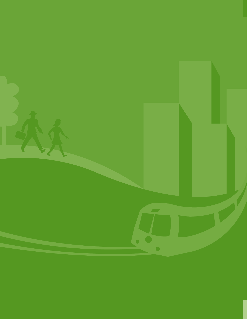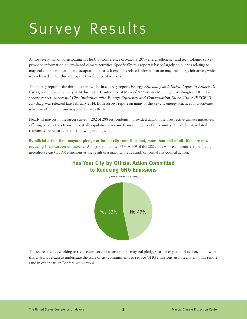Almost every mayor participating in The U.S. Conference of Mayors' 2014 energy efficiency and technologies survey provided information on city-based climate activities. Specifically, this report is based largely on queries relating to mayoral climate mitigation and adaptation efforts. It excludes related information on mayoral energy initiatives, which was released earlier this year by the Conference of Mayors.

This survey report is the third in a series. The first survey report, *Energy Efficiency and Technologies in America's Cities*, was released January 2014 during the Conference of Mayors' 82<sup>nd</sup> Winter Meeting in Washington, DC. The second report, *Successful City Initiatives with Energy Efficiency and Conservation Block Grant (EECBG) Funding*, was released late February 2014. Both surveys report on many of the key city energy practices and activities which so often underpin mayoral climate efforts.

Nearly all mayors in the larger survey – 282 of 288 respondents – provided data on their respective climate initiatives, offering perspectives from cities of all population sizes and from all regions of the country. These climate-related responses are reported in the following findings.

**By official action (i.e., mayoral pledge or formal city council action), more than half of all cities are now reducing their carbon emissions.** A majority of cities (53%) – 149 of the 282 cities – have committed to reducing greenhouse gas (GHG) emissions as the result of a mayoral pledge and/or formal city council action.





The share of cities working to reduce carbon emissions under a mayoral pledge/formal city council action, as shown in this chart, is certain to understate the scale of city commitments to reduce GHG emissions, as noted later in this report (and in other earlier Conference surveys).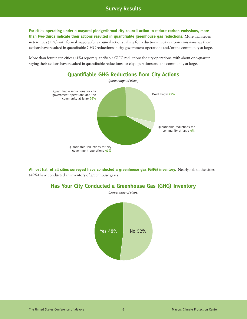**For cities operating under a mayoral pledge/formal city council action to reduce carbon emissions, more than two-thirds indicate their actions resulted in quantifiable greenhouse gas reductions.** More than seven in ten cities (71%) with formal mayoral/city council actions calling for reductions in city carbon emissions say their actions have resulted in quantifiable GHG reductions in city government operations and/or the community at large.

More than four in ten cities (41%) report quantifiable GHG reductions for city operations, with about one-quarter saying their actions have resulted in quantifiable reductions for city operations and the community at large.



**Almost half of all cities surveyed have conducted a greenhouse gas (GHG) inventory.** Nearly half of the cities (48%) have conducted an inventory of greenhouse gases.



#### **Has Your City Conducted a Greenhouse Gas (GHG) Inventory**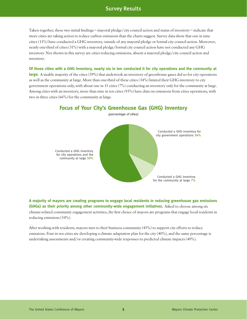Taken together, these two initial findings – mayoral pledge/city council action and status of inventory – indicate that more cities are taking action to reduce carbon emissions than the charts suggest. Survey data show that one in nine cities (11%) have conducted a GHG inventory, outside of any mayoral pledge or formal city council action. Moreover, nearly one-third of cities (31%) with a mayoral pledge/formal city council action have not conducted any GHG inventory. Not shown in this survey are cities reducing emissions, absent a mayoral pledge/city council action and inventory.

**Of those cities with a GHG inventory, nearly six in ten conducted it for city operations and the community at large.** A sizable majority of the cities (59%) that undertook an inventory of greenhouse gases did so for city operations as well as the community at large. More than one-third of these cities (34%) limited their GHG inventory to city government operations only, with about one in 15 cities (7%) conducting an inventory only for the community at large. Among cities with an inventory, more than nine in ten cities (93%) have data on emissions from cities operations, with two in three cities (66%) for the community at large.



**A majority of mayors are creating programs to engage local residents in reducing greenhouse gas emissions (GHGs) as their priority among other community-wide engagement initiatives.** Asked to choose among six climate-related community engagement activities, the first choice of mayors are programs that engage local residents in reducing emissions (54%).

After working with residents, mayors turn to their business community (45%) to support city efforts to reduce emissions. Four in ten cities are developing a climate adaptation plan for the city (40%), and the same percentage is undertaking assessments and/or creating community-wide responses to predicted climate impacts (40%).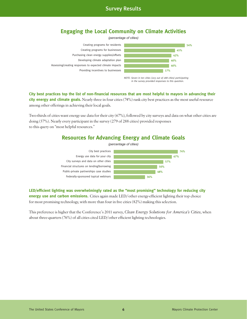#### **Engaging the Local Community on Climate Activities**

*(percentage of cities)*



*NOTE: Seven in ten cities (203 out of 288 cities) participating in the survey provided responses to this question.*

**City best practices top the list of non-financial resources that are most helpful to mayors in advancing their city energy and climate goals.** Nearly three in four cities (74%) rank city best practices as the most useful resource among other offerings in achieving their local goals.

Two-thirds of cities want energy use data for their city (67%), followed by city surveys and data on what other cities are doing (57%). Nearly every participant in the survey (279 of 288 cities) provided responses to this query on "most helpful resources."

#### **Resources for Advancing Energy and Climate Goals**



**LED/efficient lighting was overwhelmingly rated as the "most promising" technology for reducing city energy use and carbon emissions.** Cities again made LED/other energy-efficient lighting their top choice for most promising technology, with more than four in five cities (82%) making this selection.

This preference is higher that the Conference's 2011 survey, *Clean Energy Solutions for America's Cities,* when about three-quarters (76%) of all cities cited LED/other efficient lighting technologies.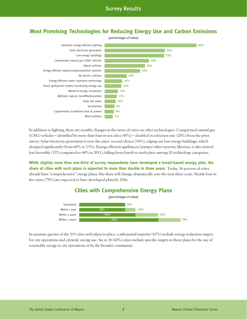#### **Most Promising Technologies for Reducing Energy Use and Carbon Emissions**



In addition to lighting, there are notable changes in the views of cities on other technologies. Compressed natural gas (CNG) vehicles – identified by more than four in ten cities (40%) – doubled its selection rate (20%) from the prior survey. Solar electricity generation is now the cities' second choice (54%), edging out low-energy buildings, which dropped significantly (from 68% to 53%). Energy-efficient appliances/pumps/other systems, likewise, is also viewed less favorably (32% compared to 44% in 2011), falling from fourth to sixth place among 20 technology categories.

**While slightly more than one-third of survey respondents have developed a broad-based energy plan, the**  share of cities with such plans is expected to more than double in three years. Today, 36 percent of cities already have "comprehensive" energy plans; this share will change dramatically over the next three years. Nearly four in five cities (79%) are expected to have developed plans by 2016.



In separate queries of the 103 cities with plans in place, a substantial majority (83%) include energy reduction targets for city operations and citywide energy use. Six in 10 (60%) cities include specific targets in these plans for the use of renewable energy in city operations or by the broader community.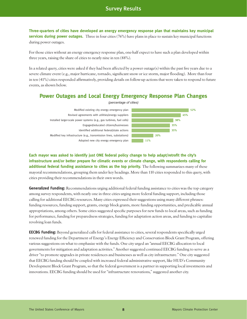**Three-quarters of cities have developed an energy emergency response plan that maintains key municipal services during power outages.**Three in four cities (76%) have plans in place to sustain key municipal functions during power outages.

For those cities without an energy emergency response plan, one-half expect to have such a plan developed within three years, raising the share of cities to nearly nine in ten (88%).

In a related query, cities were asked if they had been affected by a power outage(s) within the past five years due to a severe climate event (e.g., major hurricane, tornado, significant snow or ice storm, major flooding). More than four in ten (41%) cities responded affirmatively, providing details on follow-up actions that were taken to respond to future events, as shown below.

#### **Power Outages and Local Energy Emergency Response Plan Changes**



**Each mayor was asked to identify just ONE federal policy change to help adapt/retrofit the city's infrastructure and/or better prepare for climatic events or climate change, with respondents calling for additional federal funding assistance to cities as the top priority.** The following summarizes many of these mayoral recommendations, grouping them under key headings. More than 110 cities responded to this query, with cities providing their recommendations in their own words.

**Generalized Funding:** Recommendations urging additional federal funding assistance to cities was the top category among survey respondents, with nearly one in three cities urging more federal funding support, including those calling for additional EECBG resources. Many cities expressed their suggestions using many different phrases: funding resources, funding support, grants, energy block grants, more funding opportunities, and predicable annual appropriations, among others. Some cities suggested specific purposes for new funds to local areas, such as funding for performance, funding for preparedness strategies, funding for adaptation action areas, and funding to capitalize revolving loan funds.

**EECBG Funding:** Beyond generalized calls for federal assistance to cities, several respondents specifically urged renewed funding for the Department of Energy's Energy Efficiency and Conservation Block Grant Program, offering various suggestions on what to emphasize with the funds. One city urged an "annual EECBG allocation to local governments for mitigation and adaptation activities." Another suggested continued EECBG funding to serve as a driver "to promote upgrades in private residences and businesses as well as city infrastructure." One city suggested that EECBG funding should be coupled with increased federal administrative support, like HUD's Community Development Block Grant Program, so that the federal government is a partner in supporting local investments and innovations. EECBG funding should be used for "infrastructure renovations," suggested another city.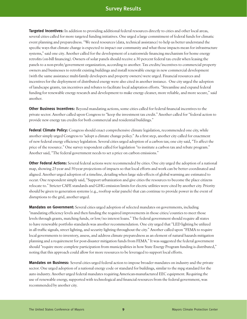**Targeted Incentives:** In addition to providing additional federal resources directly to cities and other local areas, several cities called for more targeted funding initiatives. One urged a large commitment of federal funds for climatic event planning and preparedness. "We need resources (data, technical assistance) to help us better understand the specific ways that climate change is expected to impact our community and what those impacts mean for infrastructure systems," said one city. Another called for the development of a nationwide financing mechanism for home energy retrofits (on-bill financing). Owners of solar panels should receive a 30 percent federal tax credit when leasing the panels to a non-profit/government organization, according to another. Tax credits/incentives to commercial property owners and businesses to retrofit existing buildings and install renewable energy in new commercial development (with the same assistance multi-family developers and property owners) were urged. Financial resources and incentives for the deployment of distributed energy were also cited in another instance. One city urged the adoption of landscape grants, tax incentives and rebates to facilitate local adaptation efforts. "Streamline and expand federal funding for renewable energy research and development to make energy cleaner, more reliable, and more secure," said another.

**Other Business Incentives:** Beyond mandating actions, some cities called for federal financial incentives to the private sector. Another called upon Congress to "keep the investment tax credit." Another called for "federal action to provide new energy tax credits for both commercial and residential buildings."

**Federal Climate Policy:** Congress should enact comprehensive climate legislation, recommended one city, while another simply urged Congress to "adopt a climate change policy." As a first step, another city called for enactment of new federal energy efficiency legislation. Several cities urged adoption of a carbon tax; one city said, "To affect the price of the resource." One survey respondent called for legislation "to institute a carbon tax and rebate program." Another said, "The federal government needs to set a price on carbon emissions."

**Other Federal Actions:** Several federal actions were recommended by cities. One city urged the adoption of a national map, showing 25-year and 50-year projections of impacts so that local efforts and work can be better coordinated and aligned. Another urged adoption of a timeline, detailing when large side-effects of global warming are estimated to occur. One respondent simply said, "Support urbanization and give cities the resources to become the place citizens relocate to." Stricter CAFE standards and GHG emission limits for electric utilities were cited by another city. Priority should be given to generation systems (e.g., rooftop solar panels) that can continue to provide power in the event of disruptions to the grid, another urged.

**Mandates on Government:** Several cities urged adoption of selected mandates on governments, including "mandating efficiency levels and then funding the required improvements in those cities/counties to meet those levels through grants, matching funds, or low/no interest loans." The federal government should require all states to have renewable portfolio standards was another recommendation. One city urged that "LED lighting be utilized in all traffic signals, street lighting, and security lighting throughout the city." Another called upon "FEMA to require local governments to inventory, assess, and address climate preparedness as an element of natural hazards mitigation planning and a requirement for post-disaster mitigation funds from FEMA." It was suggested the federal government should "require more complete participation from municipalities in how State Energy Program funding is distributed," noting that this approach could allow for more resources to be leveraged to support local efforts.

**Mandates on Business:** Several cities urged federal action to impose broader mandates on industry and the private sector. One urged adoption of a national energy code or standard for buildings, similar to the mpg standard for the auto industry. Another urged federal mandates requiring American-manufactured EEC equipment. Requiring the use of renewable energy, supported with technological and financial resources from the federal government, was recommended by another city.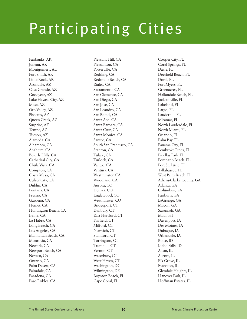### Participating Cities

Fairbanks, AK Juneau, AK Montgomery, AL Fort Smith, AR Little Rock, AR Avondale, AZ Casa Grande, AZ Goodyear, AZ Lake Havasu City, AZ Mesa, AZ Oro Valley, AZ Phoenix, AZ Queen Creek, AZ Surprise, AZ Tempe, AZ Tucson, AZ Alameda, CA Alhambra, CA Anaheim, CA Beverly Hills, CA Cathedral City, CA Chula Vista, CA Compton, CA Costa Mesa, CA Culver City, CA Dublin, CA Fontana, CA Fresno, CA Gardena, CA Hemet, CA Huntington Beach, CA Irvine, CA La Habra, CA Long Beach, CA Los Angeles, CA Manhattan Beach, CA Monrovia, CA Newark, CA Newport Beach, CA Novato, CA Ontario, CA Palm Desert, CA Palmdale, CA Pasadena, CA Paso Robles, CA

Pleasant Hill, CA Pleasanton, CA Porterville, CA Redding, CA Redondo Beach, CA Rialto, CA Sacramento, CA San Clemente, CA San Diego, CA San Jose, CA San Leandro, CA San Rafael, CA Santa Ana, CA Santa Barbara, CA Santa Cruz, CA Santa Monica, CA Santee, CA South San Francisco, CA Stanton, CA Tulare, CA Turlock, CA Vallejo, CA Ventura, CA Westminster, CA Woodland, CA Aurora, CO Denver, CO Englewood, CO Westminster, CO Bridgeport, CT Danbury, CT East Hartford, CT Fairfield, CT Milford, CT Norwich, CT Stamford, CT Torrington, CT Trumbull, CT Vernon, CT Waterbury, CT West Haven, CT Washington, DC Wilmington, DE Boynton Beach, FL Cape Coral, FL

Cooper City, FL Coral Springs, FL Davie, FL Deerfield Beach, FL Doral, FL Fort Myers, FL Greenacres, FL Hallandale Beach, FL Jacksonville, FL Lakeland, FL Largo, FL Lauderhill, FL Miramar, FL North Lauderdale, FL North Miami, FL Orlando, FL Palm Bay, FL Panama City, FL Pembroke Pines, FL Pinellas Park, FL Pompano Beach, FL Port St. Lucie, FL Tallahassee, FL West Palm Beach, FL Athens-Clarke County, GA Atlanta, GA Columbus, GA Fairburn, GA LaGrange, GA Macon, GA Savannah, GA Maui, HI Davenport, IA Des Moines, IA Dubuque, IA Urbandale, IA Boise, ID Idaho Falls, ID Alton, IL Aurora, IL Elk Grove, IL Evanston, IL Glendale Heights, IL Hanover Park, IL Hoffman Estates, IL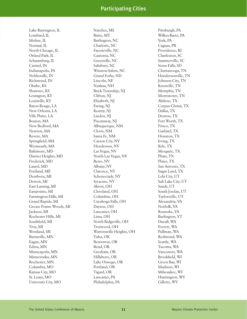Lake Barrington, IL Lombard, IL Moline, IL Normal, IL North Chicago, IL Orland Park, IL Schaumburg, IL Carmel, IN Indianapolis, IN Noblesville, IN Richmond, IN Olathe, KS Shawnee, KS Lexington, KY Louisville, KY Baton Rouge, LA New Orleans, LA Ville Platte, LA Boston, MA New Bedford, MA Newton, MA Revere, MA Springfield, MA Weymouth, MA Baltimore, MD District Heights, MD Frederick, MD Laurel, MD Portland, ME Dearborn, MI Detroit, MI East Lansing, MI Eastpointe, MI Farmington Hills, MI Grand Rapids, MI Grosse Pointe Woods, MI Jackson, MI Rochester Hills, MI Southfield, MI Troy, MI Westland, MI Burnsville, MN Eagan, MN Edina, MN Minneapolis, MN Minnetonka, MN Rochester, MN Columbia, MO Kansas City, MO St. Louis, MO University City, MO

Natchez, MS Butte, MT Burlington, NC Charlotte, NC Fayetteville, NC Gastonia, NC Greenville, NC Salisbury, NC Winston-Salem, NC Grand Forks, ND Lincoln, NE Nashua, NH Brick Township, NJ Clifton, NJ Elizabeth, NJ Ewing, NJ Kearny, NJ Linden, NJ Piscataway, NJ Albuquerque, NM Clovis, NM Santa Fe, NM Carson City, NV Henderson, NV Las Vegas, NV North Las Vegas, NV Reno, NV Albany, NY Clarence, NY Schenectady, NY Syracuse, NY Akron, OH Cleveland, OH Columbus, OH Cuyahoga Falls, OH Dayton, OH Lancaster, OH Lima, OH North Ridgeville, OH Trotwood, OH Warrensville Heights, OH Tulsa, OK Beaverton, OR Bend, OR Gresham, OR Hillsboro, OR Lake Oswego, OR Portland, OR Tigard, OR Lancaster, PA Philadelphia, PA

Pittsburgh, PA Wilkes-Barre, PA York, PA Caguas, PR Providence, RI Charleston, SC Summerville, SC Sioux Falls, SD Chattanooga, TN Hendersonville, TN Johnson City, TN Knoxville, TN Memphis, TN Morristown, TN Abilene, TX Corpus Christi, TX Dallas, TX Denton, TX Fort Worth, TX Frisco, TX Garland, TX Houston, TX Irving, TX Kyle, TX Mesquite, TX Pharr, TX Plano, TX San Antonio, TX Sugar Land, TX Lehi City, UT Salt Lake City, UT Sandy, UT South Jordan, UT Taylorsville, UT Alexandria, VA Norfolk, VA Roanoke, VA Burlington, VT Duvall, WA Everett, WA Pullman, WA Redmond, WA Seattle, WA Tacoma, WA Vancouver, WA Brookfield, WI Green Bay, WI Madison, WI Milwaukee, WI Huntington, WV Gillette, WY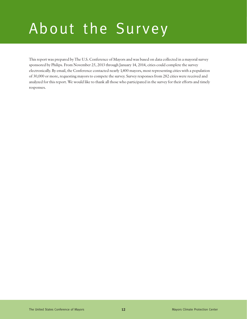## About the Survey

This report was prepared by The U.S. Conference of Mayors and was based on data collected in a mayoral survey sponsored by Philips. From November 25, 2013 through January 14, 2014, cities could complete the survey electronically. By email, the Conference contacted nearly 1,400 mayors, most representing cities with a population of 30,000 or more, requesting mayors to compete the survey. Survey responses from 282 cities were received and analyzed for this report. We would like to thank all those who participated in the survey for their efforts and timely responses.